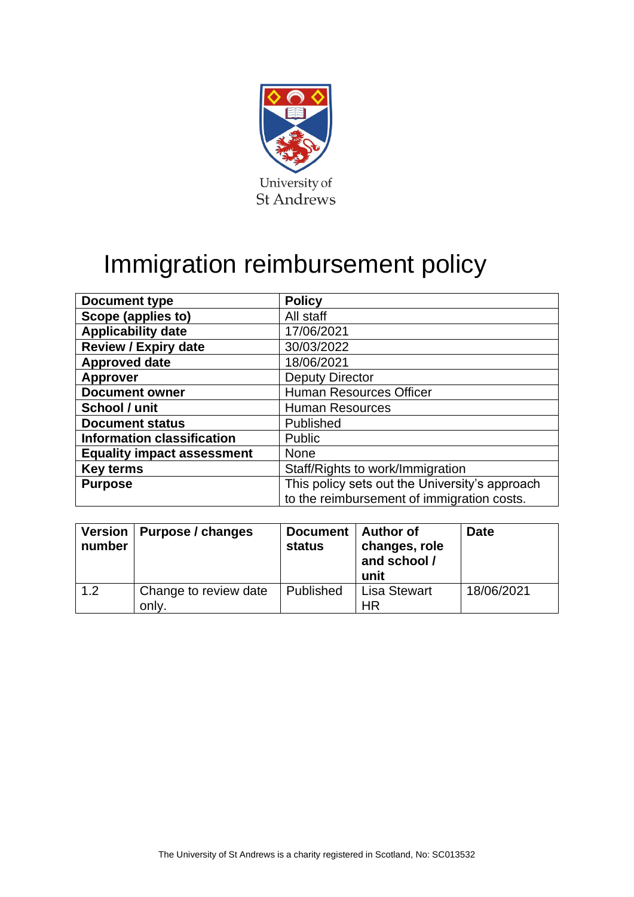

# Immigration reimbursement policy

| <b>Document type</b>              | <b>Policy</b>                                  |  |
|-----------------------------------|------------------------------------------------|--|
| Scope (applies to)                | All staff                                      |  |
| <b>Applicability date</b>         | 17/06/2021                                     |  |
| <b>Review / Expiry date</b>       | 30/03/2022                                     |  |
| <b>Approved date</b>              | 18/06/2021                                     |  |
| <b>Approver</b>                   | <b>Deputy Director</b>                         |  |
| <b>Document owner</b>             | <b>Human Resources Officer</b>                 |  |
| School / unit                     | <b>Human Resources</b>                         |  |
| <b>Document status</b>            | Published                                      |  |
| <b>Information classification</b> | Public                                         |  |
| <b>Equality impact assessment</b> | <b>None</b>                                    |  |
| <b>Key terms</b>                  | Staff/Rights to work/Immigration               |  |
| <b>Purpose</b>                    | This policy sets out the University's approach |  |
|                                   | to the reimbursement of immigration costs.     |  |

| number | Version   Purpose / changes    | Document   Author of<br>status | changes, role<br>and school /<br>unit | <b>Date</b> |
|--------|--------------------------------|--------------------------------|---------------------------------------|-------------|
| 1.2    | Change to review date<br>only. | Published                      | <b>Lisa Stewart</b><br>HR             | 18/06/2021  |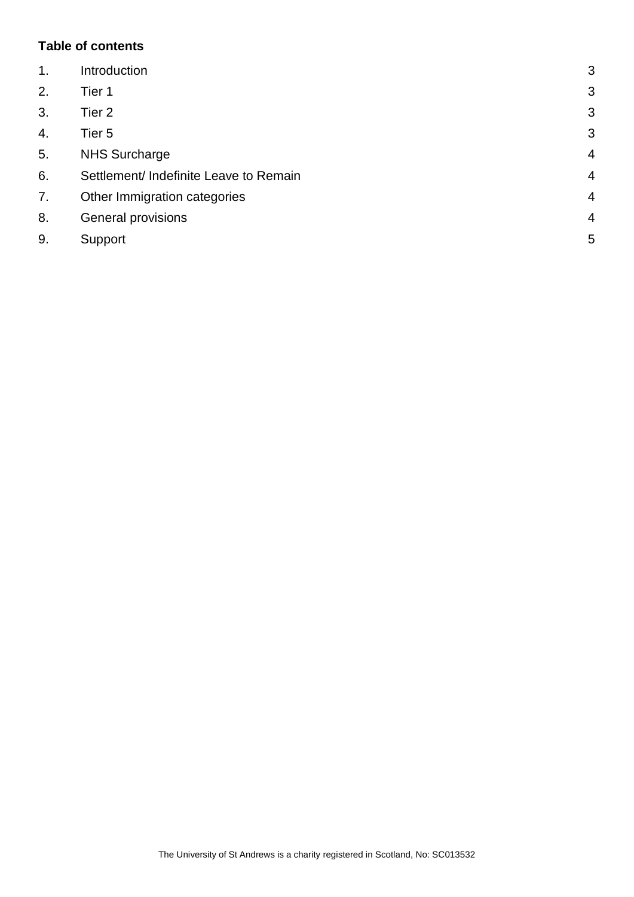### **Table of contents**

| $\mathbf{1}$ . | Introduction                           | 3              |
|----------------|----------------------------------------|----------------|
| 2.             | Tier 1                                 | 3              |
| 3.             | Tier 2                                 | 3              |
| 4.             | Tier <sub>5</sub>                      | 3              |
| 5.             | <b>NHS Surcharge</b>                   | $\overline{4}$ |
| 6.             | Settlement/ Indefinite Leave to Remain | $\overline{4}$ |
| 7.             | Other Immigration categories           | $\overline{4}$ |
| 8.             | General provisions                     | $\overline{4}$ |
| 9.             | Support                                | 5              |
|                |                                        |                |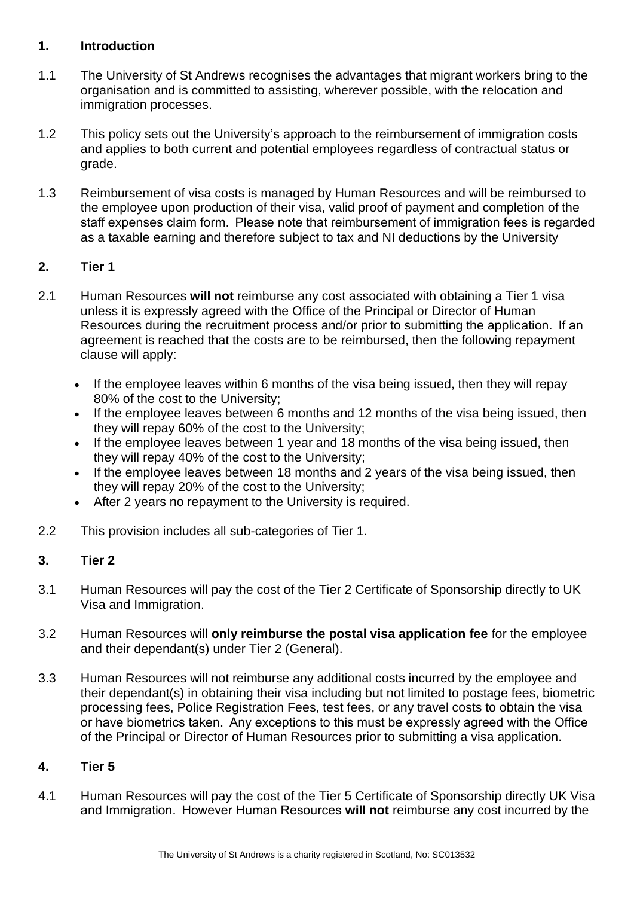#### <span id="page-2-0"></span>**1. Introduction**

- 1.1 The University of St Andrews recognises the advantages that migrant workers bring to the organisation and is committed to assisting, wherever possible, with the relocation and immigration processes.
- 1.2 This policy sets out the University's approach to the reimbursement of immigration costs and applies to both current and potential employees regardless of contractual status or grade.
- 1.3 Reimbursement of visa costs is managed by Human Resources and will be reimbursed to the employee upon production of their visa, valid proof of payment and completion of the staff expenses claim form.  Please note that reimbursement of immigration fees is regarded as a taxable earning and therefore subject to tax and NI deductions by the University

# <span id="page-2-1"></span>**2. Tier 1**

- 2.1 Human Resources **will not** reimburse any cost associated with obtaining a Tier 1 visa unless it is expressly agreed with the Office of the Principal or Director of Human Resources during the recruitment process and/or prior to submitting the application.  If an agreement is reached that the costs are to be reimbursed, then the following repayment clause will apply:
	- If the employee leaves within 6 months of the visa being issued, then they will repay 80% of the cost to the University;
	- If the employee leaves between 6 months and 12 months of the visa being issued, then they will repay 60% of the cost to the University;
	- If the employee leaves between 1 year and 18 months of the visa being issued, then they will repay 40% of the cost to the University;
	- If the employee leaves between 18 months and 2 years of the visa being issued, then they will repay 20% of the cost to the University;
	- After 2 years no repayment to the University is required.
- 2.2 This provision includes all sub-categories of Tier 1.

# <span id="page-2-2"></span>**3. Tier 2**

- 3.1 Human Resources will pay the cost of the Tier 2 Certificate of Sponsorship directly to UK Visa and Immigration.
- 3.2 Human Resources will **only reimburse the postal visa application fee** for the employee and their dependant(s) under Tier 2 (General).
- 3.3 Human Resources will not reimburse any additional costs incurred by the employee and their dependant(s) in obtaining their visa including but not limited to postage fees, biometric processing fees, Police Registration Fees, test fees, or any travel costs to obtain the visa or have biometrics taken.  Any exceptions to this must be expressly agreed with the Office of the Principal or Director of Human Resources prior to submitting a visa application.

#### <span id="page-2-3"></span>**4. Tier 5**

4.1 Human Resources will pay the cost of the Tier 5 Certificate of Sponsorship directly UK Visa and Immigration.  However Human Resources **will not** reimburse any cost incurred by the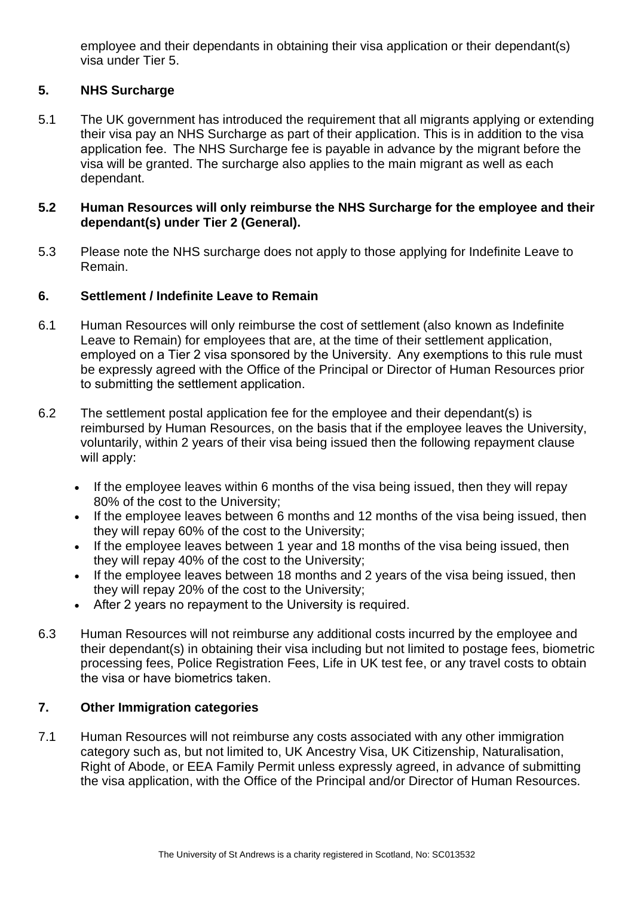employee and their dependants in obtaining their visa application or their dependant(s) visa under Tier 5.

# <span id="page-3-0"></span>**5. NHS Surcharge**

5.1 The UK government has introduced the requirement that all migrants applying or extending their visa pay an NHS Surcharge as part of their application. This is in addition to the visa application fee.  The NHS Surcharge fee is payable in advance by the migrant before the visa will be granted. The surcharge also applies to the main migrant as well as each dependant.

#### **5.2 Human Resources will only reimburse the NHS Surcharge for the employee and their dependant(s) under Tier 2 (General).**

5.3 Please note the NHS surcharge does not apply to those applying for Indefinite Leave to Remain.

# <span id="page-3-1"></span>**6. Settlement / Indefinite Leave to Remain**

- 6.1 Human Resources will only reimburse the cost of settlement (also known as Indefinite Leave to Remain) for employees that are, at the time of their settlement application, employed on a Tier 2 visa sponsored by the University.  Any exemptions to this rule must be expressly agreed with the Office of the Principal or Director of Human Resources prior to submitting the settlement application.
- 6.2 The settlement postal application fee for the employee and their dependant(s) is reimbursed by Human Resources, on the basis that if the employee leaves the University, voluntarily, within 2 years of their visa being issued then the following repayment clause will apply:
	- If the employee leaves within 6 months of the visa being issued, then they will repay 80% of the cost to the University;
	- If the employee leaves between 6 months and 12 months of the visa being issued, then they will repay 60% of the cost to the University;
	- If the employee leaves between 1 year and 18 months of the visa being issued, then they will repay 40% of the cost to the University;
	- If the employee leaves between 18 months and 2 years of the visa being issued, then they will repay 20% of the cost to the University;
	- After 2 years no repayment to the University is required.
- 6.3 Human Resources will not reimburse any additional costs incurred by the employee and their dependant(s) in obtaining their visa including but not limited to postage fees, biometric processing fees, Police Registration Fees, Life in UK test fee, or any travel costs to obtain the visa or have biometrics taken.

# <span id="page-3-2"></span>**7. Other Immigration categories**

7.1 Human Resources will not reimburse any costs associated with any other immigration category such as, but not limited to, UK Ancestry Visa, UK Citizenship, Naturalisation, Right of Abode, or EEA Family Permit unless expressly agreed, in advance of submitting the visa application, with the Office of the Principal and/or Director of Human Resources.